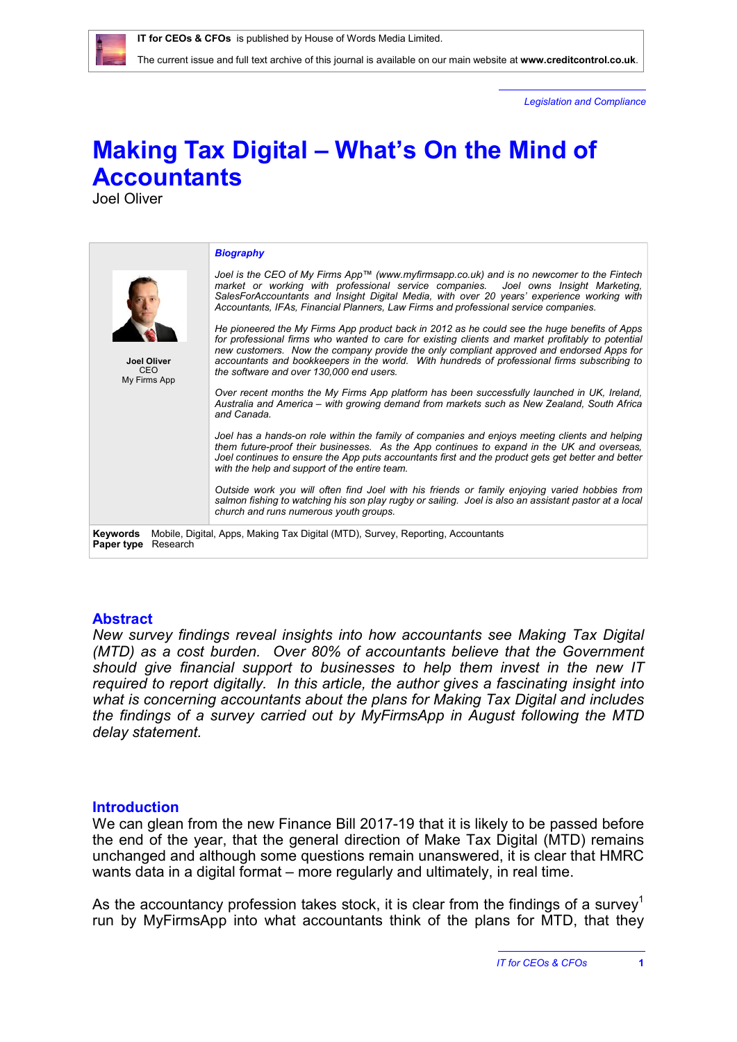The current issue and full text archive of this journal is available on our main website at **[www.creditcontrol.co.uk](http://www.creditcontrol.co.uk)**.

*Legislation and Compliance*

# **Making Tax Digital – What's On the Mind of Accountants**

Joel Oliver

|                                           | <b>Biography</b>                                                                                                                                                                                                                                                                                                                                                                                                                          |  |  |  |  |
|-------------------------------------------|-------------------------------------------------------------------------------------------------------------------------------------------------------------------------------------------------------------------------------------------------------------------------------------------------------------------------------------------------------------------------------------------------------------------------------------------|--|--|--|--|
|                                           | Joel is the CEO of My Firms App™ (www.myfirmsapp.co.uk) and is no newcomer to the Fintech<br>market or working with professional service companies. Joel owns Insight Marketing,<br>SalesForAccountants and Insight Digital Media, with over 20 years' experience working with<br>Accountants, IFAs, Financial Planners, Law Firms and professional service companies.                                                                    |  |  |  |  |
| <b>Joel Oliver</b><br>CEO<br>My Firms App | He pioneered the My Firms App product back in 2012 as he could see the huge benefits of Apps<br>for professional firms who wanted to care for existing clients and market profitably to potential<br>new customers. Now the company provide the only compliant approved and endorsed Apps for<br>accountants and bookkeepers in the world. With hundreds of professional firms subscribing to<br>the software and over 130,000 end users. |  |  |  |  |
|                                           | Over recent months the My Firms App platform has been successfully launched in UK, Ireland,<br>Australia and America – with growing demand from markets such as New Zealand, South Africa<br>and Canada                                                                                                                                                                                                                                   |  |  |  |  |
|                                           | Joel has a hands-on role within the family of companies and enjoys meeting clients and helping<br>them future-proof their businesses. As the App continues to expand in the UK and overseas,<br>Joel continues to ensure the App puts accountants first and the product gets get better and better<br>with the help and support of the entire team.                                                                                       |  |  |  |  |
|                                           | Outside work you will often find Joel with his friends or family enjoying varied hobbies from<br>salmon fishing to watching his son play rugby or sailing. Joel is also an assistant pastor at a local<br>church and runs numerous youth groups.                                                                                                                                                                                          |  |  |  |  |
| Keywords<br>Paper type<br>Research        | Mobile, Digital, Apps, Making Tax Digital (MTD), Survey, Reporting, Accountants                                                                                                                                                                                                                                                                                                                                                           |  |  |  |  |

### **Abstract**

*New survey findings reveal insights into how accountants see Making Tax Digital (MTD) as a cost burden. Over 80% of accountants believe that the Government should give financial support to businesses to help them invest in the new IT required to report digitally. In this article, the author gives a fascinating insight into what is concerning accountants about the plans for Making Tax Digital and includes the findings of a survey carried out by MyFirmsApp in August following the MTD delay statement.* 

### **Introduction**

We can glean from the new Finance Bill 2017-19 that it is likely to be passed before the end of the year, that the general direction of Make Tax Digital (MTD) remains unchanged and although some questions remain unanswered, it is clear that HMRC wants data in a digital format – more regularly and ultimately, in real time.

As the accountancy profession takes stock, it is clear from the findings of a survey<sup>1</sup> run by MyFirmsApp into what accountants think of the plans for MTD, that they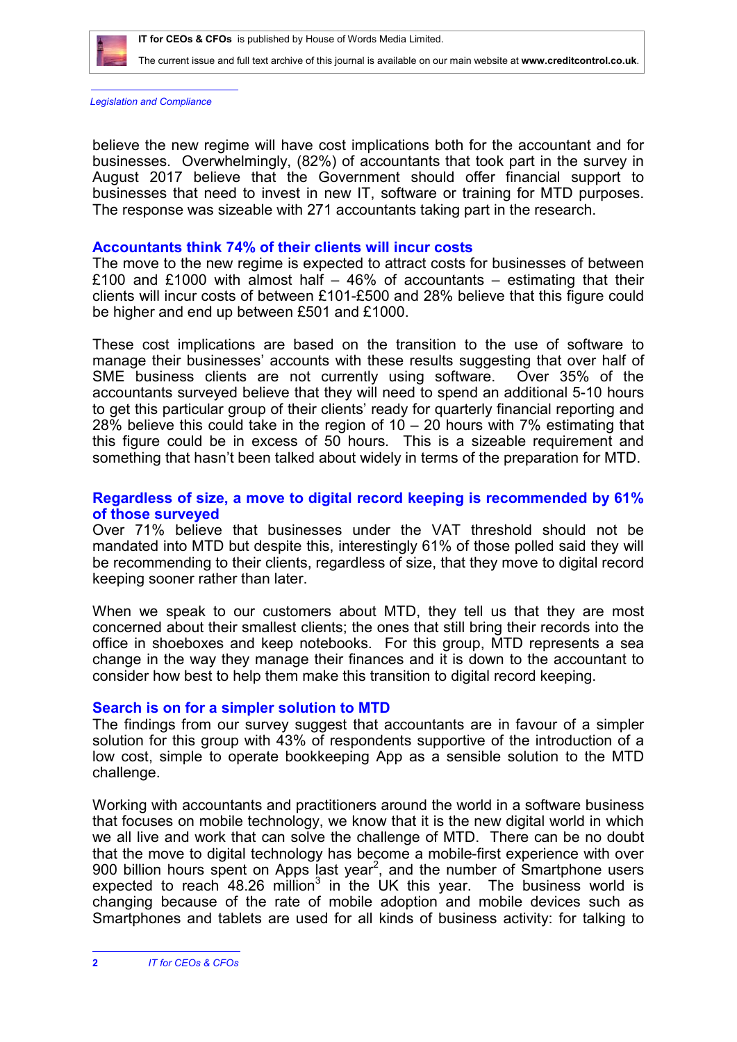

The current issue and full text archive of this journal is available on our main website at **[www.creditcontrol.co.uk](http://www.creditcontrol.co.uk)**.

*Legislation and Compliance*

believe the new regime will have cost implications both for the accountant and for businesses. Overwhelmingly, (82%) of accountants that took part in the survey in August 2017 believe that the Government should offer financial support to businesses that need to invest in new IT, software or training for MTD purposes. The response was sizeable with 271 accountants taking part in the research.

# **Accountants think 74% of their clients will incur costs**

The move to the new regime is expected to attract costs for businesses of between £100 and £1000 with almost half – 46% of accountants – estimating that their clients will incur costs of between £101-£500 and 28% believe that this figure could be higher and end up between £501 and £1000.

These cost implications are based on the transition to the use of software to manage their businesses' accounts with these results suggesting that over half of SME business clients are not currently using software. Over 35% of the accountants surveyed believe that they will need to spend an additional 5-10 hours to get this particular group of their clients' ready for quarterly financial reporting and 28% believe this could take in the region of 10 – 20 hours with 7% estimating that this figure could be in excess of 50 hours. This is a sizeable requirement and something that hasn't been talked about widely in terms of the preparation for MTD.

# **Regardless of size, a move to digital record keeping is recommended by 61% of those surveyed**

Over 71% believe that businesses under the VAT threshold should not be mandated into MTD but despite this, interestingly 61% of those polled said they will be recommending to their clients, regardless of size, that they move to digital record keeping sooner rather than later.

When we speak to our customers about MTD, they tell us that they are most concerned about their smallest clients; the ones that still bring their records into the office in shoeboxes and keep notebooks. For this group, MTD represents a sea change in the way they manage their finances and it is down to the accountant to consider how best to help them make this transition to digital record keeping.

# **Search is on for a simpler solution to MTD**

The findings from our survey suggest that accountants are in favour of a simpler solution for this group with 43% of respondents supportive of the introduction of a low cost, simple to operate bookkeeping App as a sensible solution to the MTD challenge.

Working with accountants and practitioners around the world in a software business that focuses on mobile technology, we know that it is the new digital world in which we all live and work that can solve the challenge of MTD. There can be no doubt that the move to digital technology has become a mobile-first experience with over 900 billion hours spent on Apps last year<sup>2</sup>, and the number of Smartphone users expected to reach  $48.26$  million<sup>3</sup> in the UK this year. The business world is changing because of the rate of mobile adoption and mobile devices such as Smartphones and tablets are used for all kinds of business activity: for talking to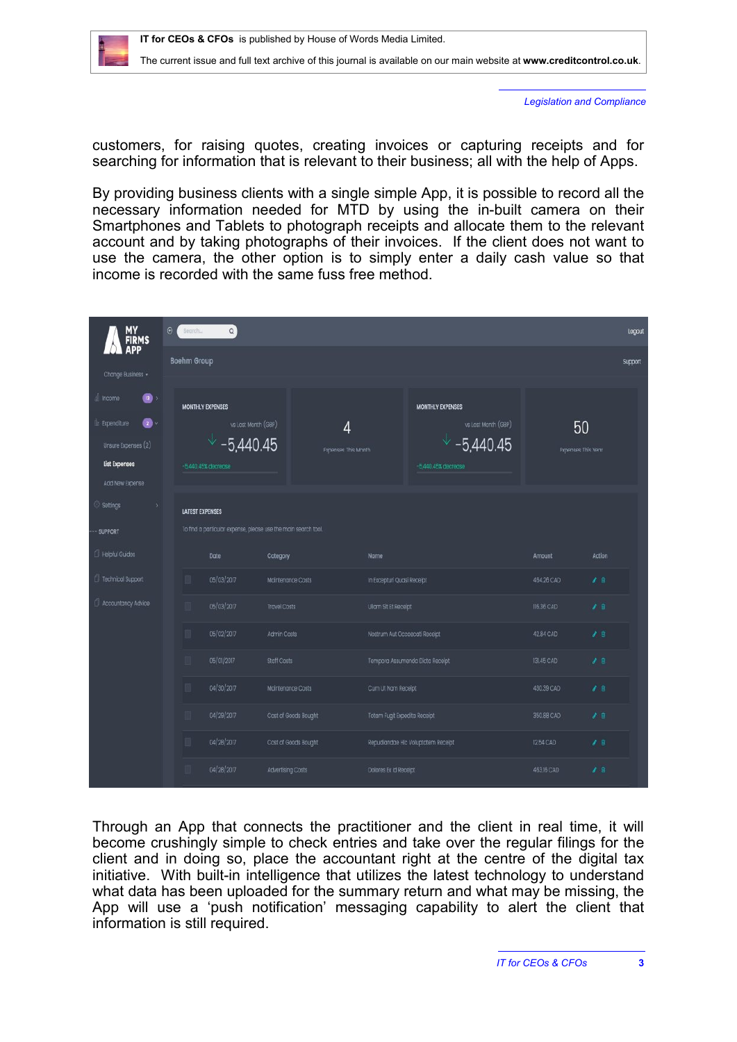

*Legislation and Compliance*

customers, for raising quotes, creating invoices or capturing receipts and for searching for information that is relevant to their business; all with the help of Apps.

By providing business clients with a single simple App, it is possible to record all the necessary information needed for MTD by using the in-built camera on their Smartphones and Tablets to photograph receipts and allocate them to the relevant account and by taking photographs of their invoices. If the client does not want to use the camera, the other option is to simply enter a daily cash value so that income is recorded with the same fuss free method.

| MY<br>FIRMS<br>APP                                                                                           | $\Theta$<br>$\mathsf{Q}$<br>Search                                                       |                                                                                            |                          |                          |                               |                                                                                           |               |                          |  |  |
|--------------------------------------------------------------------------------------------------------------|------------------------------------------------------------------------------------------|--------------------------------------------------------------------------------------------|--------------------------|--------------------------|-------------------------------|-------------------------------------------------------------------------------------------|---------------|--------------------------|--|--|
| Change Business -                                                                                            | <b>Boehm Group</b>                                                                       |                                                                                            |                          |                          |                               |                                                                                           |               |                          |  |  |
| di income<br>$\mathbf{a}$<br>Ø.<br>Le Expenditure<br>Unsure Expenses (2)<br>List Expenses<br>Add New Expense |                                                                                          | <b>MONTHLY EXPENSES</b><br>vs Last Month (GBP)<br>$\sqrt{-5,440.45}$<br>5,440.45% decrease |                          | 4<br>Expenses This Month |                               | <b>MONTHLY EXPENSES</b><br>vs Last Month (GBP)<br>$\sqrt{-5,440.45}$<br>5440,45% decrease |               | 50<br>Expenses This Year |  |  |
| <sup>2</sup> Settings<br>5<br>-- SUPPORT                                                                     | <b>LATEST EXPENSES</b><br>To find a particular expense, please use the main search tool. |                                                                                            |                          |                          |                               |                                                                                           |               |                          |  |  |
| Helpful Guides                                                                                               |                                                                                          | Date                                                                                       | Category                 |                          | Name                          |                                                                                           | Amount        | Action                   |  |  |
| Technical Support                                                                                            |                                                                                          | 05/03/2017                                                                                 | Maintenance Costs        |                          | In Excepturi Quasi Receipt    |                                                                                           | 464.26 CAD    | $\mathcal{F}$ 8          |  |  |
| Accountancy Advice                                                                                           |                                                                                          | 05/03/2017<br><b>Travel Costs</b>                                                          |                          | Ullam Sit Et Receipt     |                               | 116.36 CAD                                                                                | $\mathcal{F}$ |                          |  |  |
|                                                                                                              |                                                                                          | 05/02/2017                                                                                 | Admin Costs              |                          | Nostrum Aut Occaecati Receipt |                                                                                           | 42.84 CAD     | 78                       |  |  |
|                                                                                                              |                                                                                          | 05/01/2017                                                                                 | <b>Staff Costs</b>       |                          |                               | Tempora Assumenda Dicta Receipt                                                           | 131.45 CAD    | 7.8                      |  |  |
|                                                                                                              | 04/30/2017<br>m<br>04/29/2017                                                            |                                                                                            | Maintenance Costs        |                          |                               | Cum Ut Nam Receipt                                                                        |               | $\lambda$ 8              |  |  |
|                                                                                                              |                                                                                          |                                                                                            |                          | Cost of Goods Bought     |                               | Totam Fugit Expedita Receipt                                                              |               | $\mathcal{F}$ is         |  |  |
|                                                                                                              | m                                                                                        | 04/28/2017                                                                                 | Cost of Goods Bought     |                          |                               | Repudiandae Hic Voluptatem Receipt                                                        | 12.54 CAD     | $\mathcal{L}$ 8          |  |  |
|                                                                                                              |                                                                                          | 04/28/2017                                                                                 | <b>Advertising Costs</b> |                          | Dolores Ex Id Receipt         |                                                                                           | 463.16 CAD    | 78                       |  |  |

Through an App that connects the practitioner and the client in real time, it will become crushingly simple to check entries and take over the regular filings for the client and in doing so, place the accountant right at the centre of the digital tax initiative. With built-in intelligence that utilizes the latest technology to understand what data has been uploaded for the summary return and what may be missing, the App will use a 'push notification' messaging capability to alert the client that information is still required.